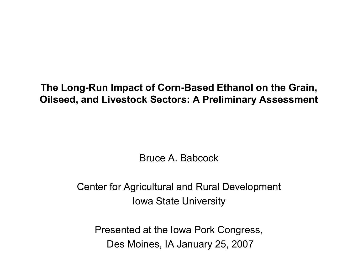#### **The Long-Run Impact of Corn-Based Ethanol on the Grain, Oilseed, and Livestock Sectors: A Preliminary Assessment**

Bruce A. Babcock

Center for Agricultural and Rural Development Iowa State University

Presented at the Iowa Pork Congress, Des Moines, IA January 25, 2007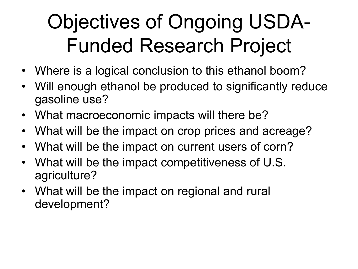#### Objectives of Ongoing USDA-Funded Research Project

- Where is a logical conclusion to this ethanol boom?
- Will enough ethanol be produced to significantly reduce gasoline use?
- What macroeconomic impacts will there be?
- What will be the impact on crop prices and acreage?
- What will be the impact on current users of corn?
- What will be the impact competitiveness of U.S. agriculture?
- What will be the impact on regional and rural development?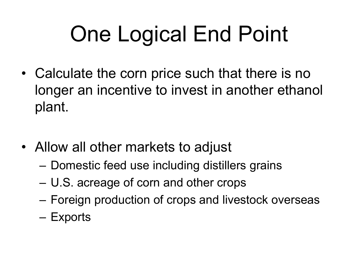# One Logical End Point

- Calculate the corn price such that there is no longer an incentive to invest in another ethanol plant.
- Allow all other markets to adjust
	- Domestic feed use including distillers grains
	- U.S. acreage of corn and other crops
	- Foreign production of crops and livestock overseas
	- Exports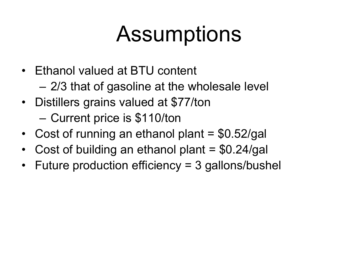### **Assumptions**

- Ethanol valued at BTU content
	- 2/3 that of gasoline at the wholesale level
- Distillers grains valued at \$77/ton – Current price is \$110/ton
- Cost of running an ethanol plant  $= $0.52/gal$
- Cost of building an ethanol plant = \$0.24/gal
- Future production efficiency = 3 gallons/bushel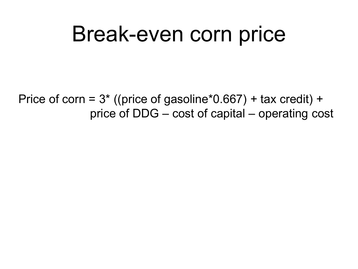#### Break-even corn price

Price of corn =  $3*$  ((price of gasoline\*0.667) + tax credit) + price of DDG – cost of capital – operating cost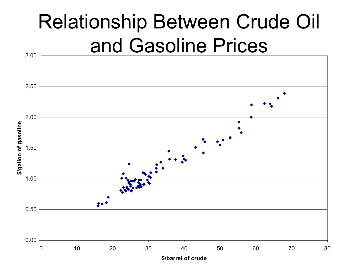#### Relationship Between Crude Oil and Gasoline Prices

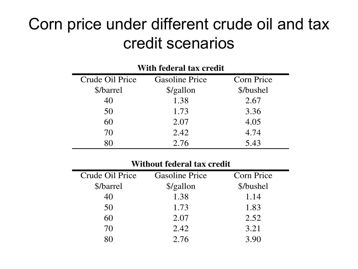#### Corn price under different crude oil and tax credit scenarios

| With federal tax credit |                       |                   |  |  |  |
|-------------------------|-----------------------|-------------------|--|--|--|
| Crude Oil Price         | <b>Gasoline Price</b> | <b>Corn Price</b> |  |  |  |
| \$/barrel               | \$/gallon             | \$/bushel         |  |  |  |
| 40                      | 1.38                  | 2.67              |  |  |  |
| 50                      | 1.73                  | 3.36              |  |  |  |
| 60                      | 2.07                  | 4.05              |  |  |  |
| 70                      | 2.42                  | 4.74              |  |  |  |
| 80                      | 2.76                  | 5.43              |  |  |  |

#### **Without federal tax credit**

| Crude Oil Price | <b>Gasoline Price</b> | <b>Corn Price</b> |
|-----------------|-----------------------|-------------------|
| \$/barrel       | \$/gallon             | \$/bushel         |
| 40              | 1.38                  | 1.14              |
| 50              | 1.73                  | 1.83              |
| 60              | 2.07                  | 2.52              |
| 70              | 2.42                  | 3.21              |
|                 | 2.76                  | 3.90              |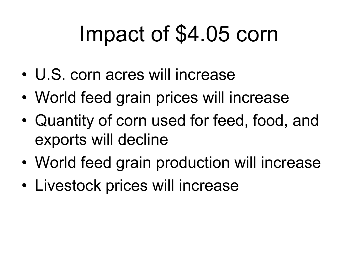### Impact of \$4.05 corn

- U.S. corn acres will increase
- World feed grain prices will increase
- Quantity of corn used for feed, food, and exports will decline
- World feed grain production will increase
- Livestock prices will increase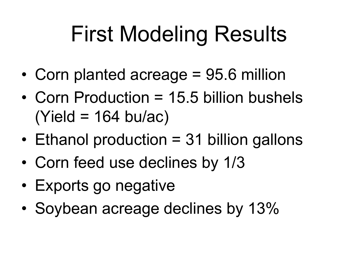## First Modeling Results

- Corn planted acreage = 95.6 million
- Corn Production = 15.5 billion bushels  $(Yield = 164 bu/ac)$
- Ethanol production = 31 billion gallons
- Corn feed use declines by 1/3
- Exports go negative
- Soybean acreage declines by 13%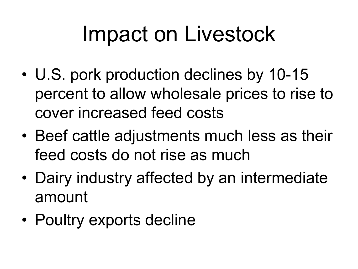### Impact on Livestock

- U.S. pork production declines by 10-15 percent to allow wholesale prices to rise to cover increased feed costs
- Beef cattle adjustments much less as their feed costs do not rise as much
- Dairy industry affected by an intermediate amount
- Poultry exports decline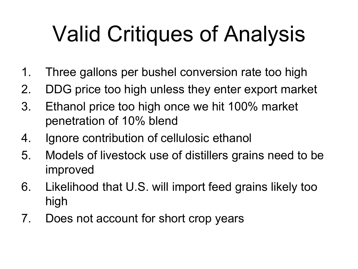# Valid Critiques of Analysis

- 1. Three gallons per bushel conversion rate too high
- 2. DDG price too high unless they enter export market
- 3. Ethanol price too high once we hit 100% market penetration of 10% blend
- 4. Ignore contribution of cellulosic ethanol
- 5. Models of livestock use of distillers grains need to be improved
- 6. Likelihood that U.S. will import feed grains likely too high
- 7. Does not account for short crop years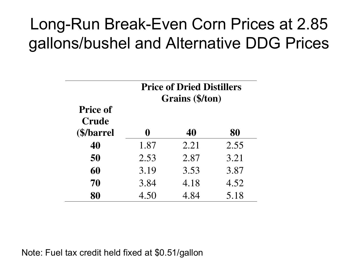#### Long-Run Break-Even Corn Prices at 2.85 gallons/bushel and Alternative DDG Prices

|                                                | <b>Price of Dried Distillers</b><br>Grains (\$/ton) |      |      |
|------------------------------------------------|-----------------------------------------------------|------|------|
| <b>Price of</b><br><b>Crude</b><br>(\$/barrel) | 0                                                   | 40   | 80   |
| 40                                             | 1.87                                                | 2.21 | 2.55 |
| 50                                             | 2.53                                                | 2.87 | 3.21 |
| 60                                             | 3.19                                                | 3.53 | 3.87 |
| 70                                             | 3.84                                                | 4.18 | 4.52 |
| 80                                             | 4.50                                                | 4.84 | 5.18 |

#### Note: Fuel tax credit held fixed at \$0.51/gallon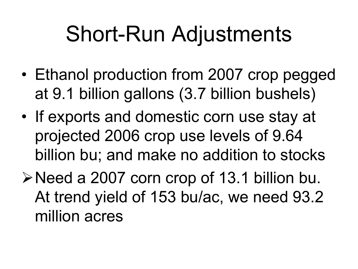### Short-Run Adjustments

- Ethanol production from 2007 crop pegged at 9.1 billion gallons (3.7 billion bushels)
- If exports and domestic corn use stay at projected 2006 crop use levels of 9.64 billion bu; and make no addition to stocks
- Need a 2007 corn crop of 13.1 billion bu. At trend yield of 153 bu/ac, we need 93.2 million acres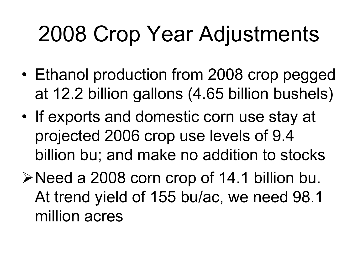## 2008 Crop Year Adjustments

- Ethanol production from 2008 crop pegged at 12.2 billion gallons (4.65 billion bushels)
- If exports and domestic corn use stay at projected 2006 crop use levels of 9.4 billion bu; and make no addition to stocks
- Need a 2008 corn crop of 14.1 billion bu. At trend yield of 155 bu/ac, we need 98.1 million acres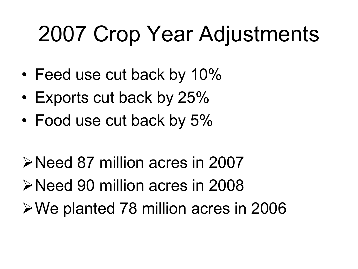## 2007 Crop Year Adjustments

- Feed use cut back by 10%
- Exports cut back by 25%
- Food use cut back by 5%
- Need 87 million acres in 2007 Need 90 million acres in 2008 We planted 78 million acres in 2006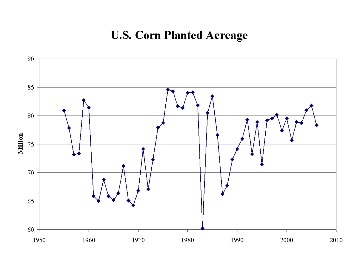#### **U.S. Corn Planted Acreage**

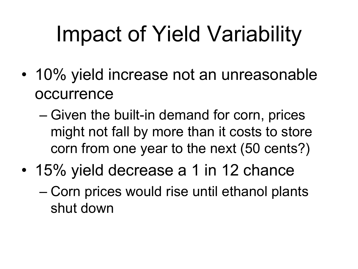# Impact of Yield Variability

- 10% yield increase not an unreasonable occurrence
	- Given the built-in demand for corn, prices might not fall by more than it costs to store corn from one year to the next (50 cents?)
- 15% yield decrease a 1 in 12 chance
	- Corn prices would rise until ethanol plants shut down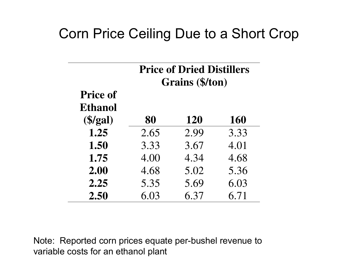#### Corn Price Ceiling Due to a Short Crop

|                          | <b>Price of Dried Distillers</b><br>Grains (\$/ton) |            |            |  |  |
|--------------------------|-----------------------------------------------------|------------|------------|--|--|
| <b>Price of</b>          |                                                     |            |            |  |  |
| <b>Ethanol</b>           |                                                     |            |            |  |  |
| $(\frac{5}{\text{gal}})$ | 80                                                  | <b>120</b> | <b>160</b> |  |  |
| 1.25                     | 2.65                                                | 2.99       | 3.33       |  |  |
| 1.50                     | 3.33                                                | 3.67       | 4.01       |  |  |
| 1.75                     | 4.00                                                | 4.34       | 4.68       |  |  |
| 2.00                     | 4.68                                                | 5.02       | 5.36       |  |  |
| 2.25                     | 5.35                                                | 5.69       | 6.03       |  |  |
| 2.50                     | 6.03                                                | 6.37       | 6.71       |  |  |

Note: Reported corn prices equate per-bushel revenue to variable costs for an ethanol plant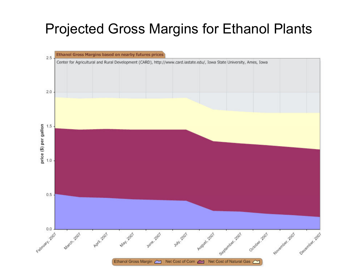#### Projected Gross Margins for Ethanol Plants

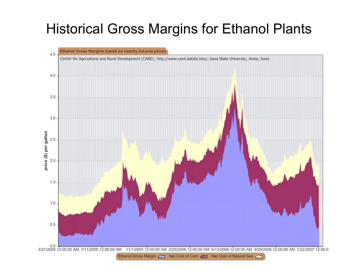#### Historical Gross Margins for Ethanol Plants

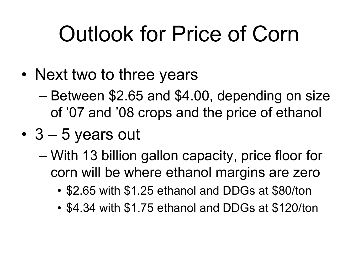## Outlook for Price of Corn

- Next two to three years
	- Between \$2.65 and \$4.00, depending on size of '07 and '08 crops and the price of ethanol
- 3 5 years out
	- With 13 billion gallon capacity, price floor for corn will be where ethanol margins are zero
		- \$2.65 with \$1.25 ethanol and DDGs at \$80/ton
		- \$4.34 with \$1.75 ethanol and DDGs at \$120/ton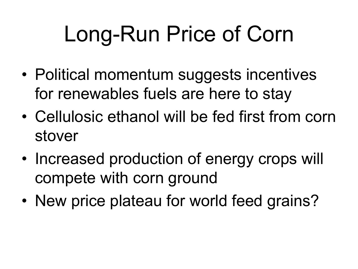# Long-Run Price of Corn

- Political momentum suggests incentives for renewables fuels are here to stay
- Cellulosic ethanol will be fed first from corn stover
- Increased production of energy crops will compete with corn ground
- New price plateau for world feed grains?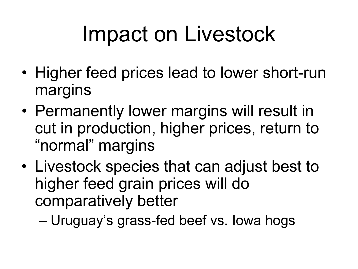## Impact on Livestock

- Higher feed prices lead to lower short-run margins
- Permanently lower margins will result in cut in production, higher prices, return to "normal" margins
- Livestock species that can adjust best to higher feed grain prices will do comparatively better

– Uruguay's grass-fed beef vs. Iowa hogs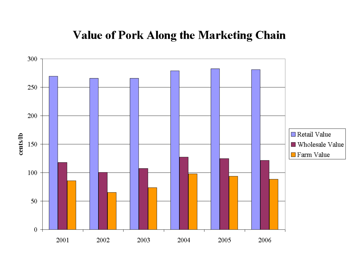#### **Value of Pork Along the Marketing Chain**